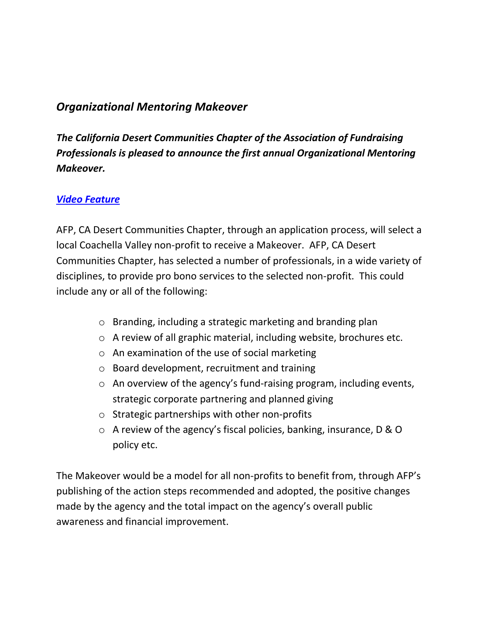## *Organizational Mentoring Makeover*

*The California Desert Communities Chapter of the Association of Fundraising Professionals is pleased to announce the first annual Organizational Mentoring Makeover.* 

## *[Video Feature](http://youtu.be/0TgfqWgTazM)*

AFP, CA Desert Communities Chapter, through an application process, will select a local Coachella Valley non-profit to receive a Makeover. AFP, CA Desert Communities Chapter, has selected a number of professionals, in a wide variety of disciplines, to provide pro bono services to the selected non-profit. This could include any or all of the following:

- o Branding, including a strategic marketing and branding plan
- o A review of all graphic material, including website, brochures etc.
- o An examination of the use of social marketing
- o Board development, recruitment and training
- o An overview of the agency's fund-raising program, including events, strategic corporate partnering and planned giving
- o Strategic partnerships with other non-profits
- o A review of the agency's fiscal policies, banking, insurance, D & O policy etc.

The Makeover would be a model for all non-profits to benefit from, through AFP's publishing of the action steps recommended and adopted, the positive changes made by the agency and the total impact on the agency's overall public awareness and financial improvement.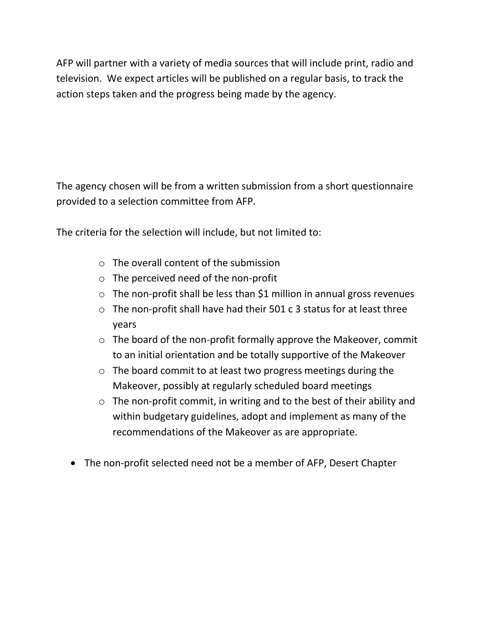AFP will partner with a variety of media sources that will include print, radio and television. We expect articles will be published on a regular basis, to track the action steps taken and the progress being made by the agency.

The agency chosen will be from a written submission from a short questionnaire provided to a selection committee from AFP.

The criteria for the selection will include, but not limited to:

- o The overall content of the submission
- o The perceived need of the non-profit
- o The non-profit shall be less than \$1 million in annual gross revenues
- $\circ$  The non-profit shall have had their 501 c 3 status for at least three years
- o The board of the non-profit formally approve the Makeover, commit to an initial orientation and be totally supportive of the Makeover
- o The board commit to at least two progress meetings during the Makeover, possibly at regularly scheduled board meetings
- o The non-profit commit, in writing and to the best of their ability and within budgetary guidelines, adopt and implement as many of the recommendations of the Makeover as are appropriate.
- The non-profit selected need not be a member of AFP, Desert Chapter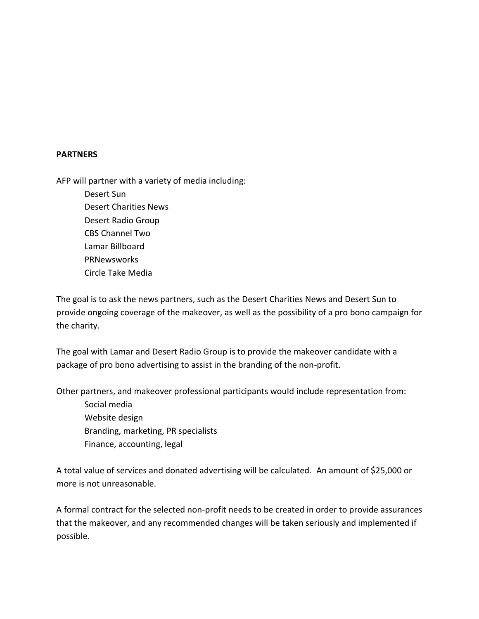## **PARTNERS**

AFP will partner with a variety of media including:

Desert Sun Desert Charities News Desert Radio Group CBS Channel Two Lamar Billboard PRNewsworks Circle Take Media

The goal is to ask the news partners, such as the Desert Charities News and Desert Sun to provide ongoing coverage of the makeover, as well as the possibility of a pro bono campaign for the charity.

The goal with Lamar and Desert Radio Group is to provide the makeover candidate with a package of pro bono advertising to assist in the branding of the non-profit.

Other partners, and makeover professional participants would include representation from: Social media Website design

Branding, marketing, PR specialists Finance, accounting, legal

A total value of services and donated advertising will be calculated. An amount of \$25,000 or more is not unreasonable.

A formal contract for the selected non-profit needs to be created in order to provide assurances that the makeover, and any recommended changes will be taken seriously and implemented if possible.